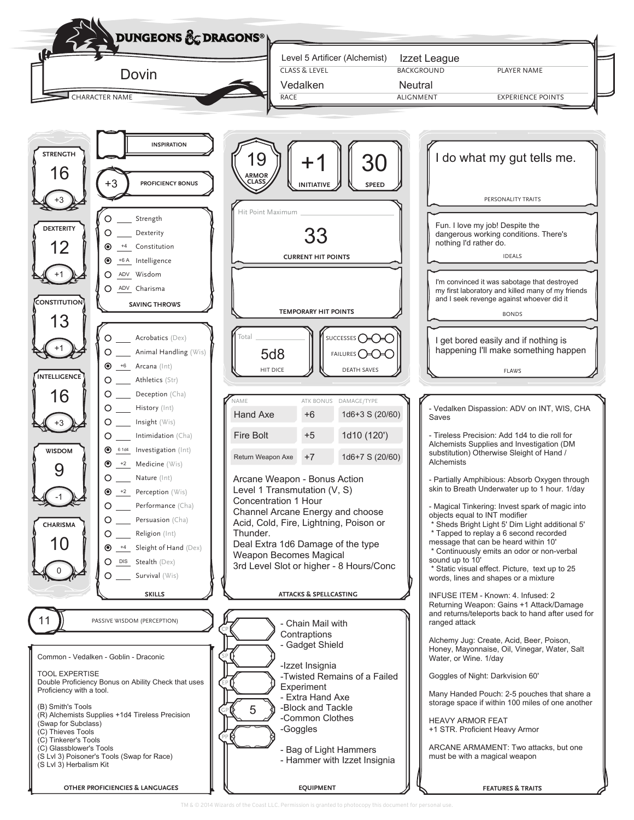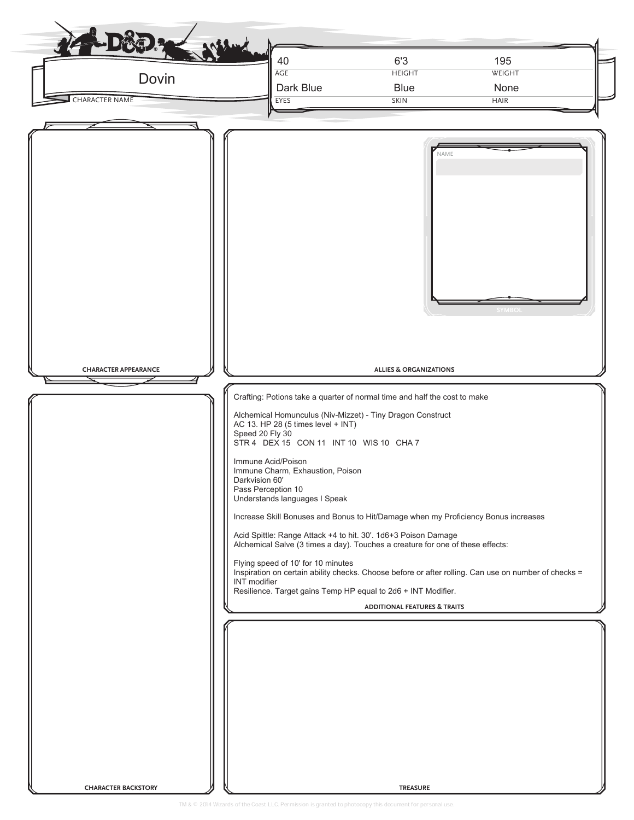| Dovin<br><b>CHARACTER NAME</b> | 6'3<br>195<br>40<br>AGE<br><b>HEIGHT</b><br>WEIGHT<br>Dark Blue<br><b>Blue</b><br>None<br>EYES<br><b>SKIN</b><br><b>HAIR</b>                                                                                                                                                                                                                                                                                                                                                                                                                                                                                                                                                                                                                                                                                                                         |
|--------------------------------|------------------------------------------------------------------------------------------------------------------------------------------------------------------------------------------------------------------------------------------------------------------------------------------------------------------------------------------------------------------------------------------------------------------------------------------------------------------------------------------------------------------------------------------------------------------------------------------------------------------------------------------------------------------------------------------------------------------------------------------------------------------------------------------------------------------------------------------------------|
| <b>CHARACTER APPEARANCE</b>    | NAME<br><b>SYMBOI</b><br><b>ALLIES &amp; ORGANIZATIONS</b><br>Crafting: Potions take a quarter of normal time and half the cost to make<br>Alchemical Homunculus (Niv-Mizzet) - Tiny Dragon Construct<br>AC 13. HP 28 (5 times level + INT)<br>Speed 20 Fly 30<br>STR 4 DEX 15 CON 11 INT 10 WIS 10 CHA 7<br>Immune Acid/Poison<br>Immune Charm, Exhaustion, Poison<br>Darkvision 60'<br>Pass Perception 10<br>Understands languages I Speak<br>Increase Skill Bonuses and Bonus to Hit/Damage when my Proficiency Bonus increases<br>Acid Spittle: Range Attack +4 to hit. 30'. 1d6+3 Poison Damage<br>Alchemical Salve (3 times a day). Touches a creature for one of these effects:<br>Flying speed of 10' for 10 minutes<br>Inspiration on certain ability checks. Choose before or after rolling. Can use on number of checks =<br>INT modifier |
|                                | Resilience. Target gains Temp HP equal to 2d6 + INT Modifier.<br><b>ADDITIONAL FEATURES &amp; TRAITS</b>                                                                                                                                                                                                                                                                                                                                                                                                                                                                                                                                                                                                                                                                                                                                             |
| <b>CHARACTER BACKSTORY</b>     | <b>TREASURE</b>                                                                                                                                                                                                                                                                                                                                                                                                                                                                                                                                                                                                                                                                                                                                                                                                                                      |

TM & 2014 Wizards of the Coast LLC. Permission is granted to photocopy this document for personal use.